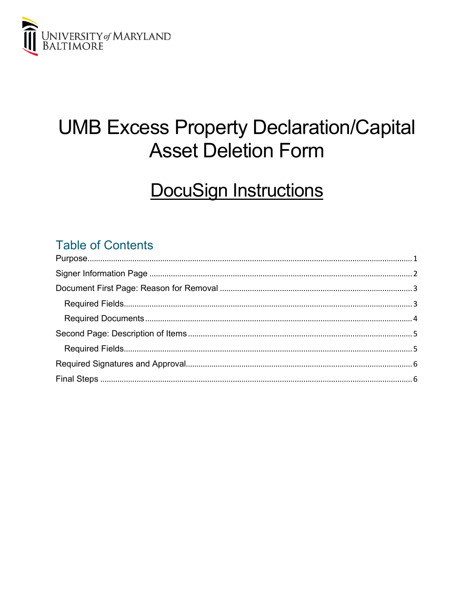

# **UMB Excess Property Declaration/Capital Asset Deletion Form**

## **DocuSign Instructions**

## **Table of Contents**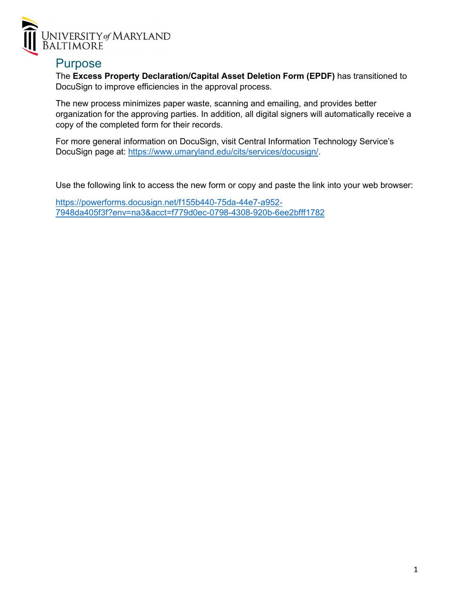

#### <span id="page-1-0"></span>Purpose

The **Excess Property Declaration/Capital Asset Deletion Form (EPDF)** has transitioned to DocuSign to improve efficiencies in the approval process.

The new process minimizes paper waste, scanning and emailing, and provides better organization for the approving parties. In addition, all digital signers will automatically receive a copy of the completed form for their records.

For more general information on DocuSign, visit Central Information Technology Service's DocuSign page at: [https://www.umaryland.edu/cits/services/docusign/.](https://www.umaryland.edu/cits/services/docusign/)

Use the following link to access the new form or copy and paste the link into your web browser:

[https://powerforms.docusign.net/f155b440-75da-44e7-a952-](https://powerforms.docusign.net/f155b440-75da-44e7-a952-7948da405f3f?env=na3&acct=f779d0ec-0798-4308-920b-6ee2bfff1782) [7948da405f3f?env=na3&acct=f779d0ec-0798-4308-920b-6ee2bfff1782](https://powerforms.docusign.net/f155b440-75da-44e7-a952-7948da405f3f?env=na3&acct=f779d0ec-0798-4308-920b-6ee2bfff1782)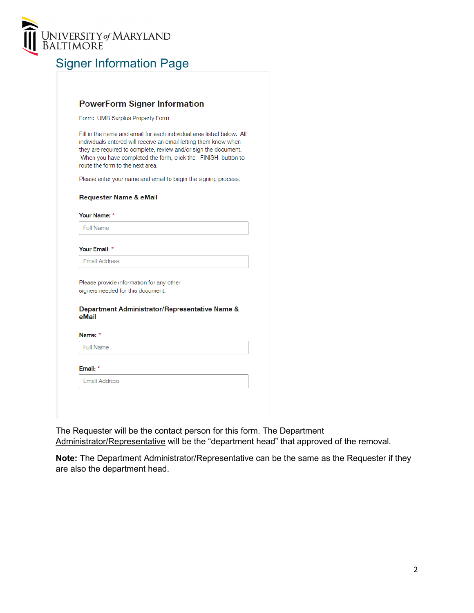

## <span id="page-2-0"></span>Signer Information Page

| Form: UMB Surplus Property Form                                                                                                                                                                                                                                                                                  |
|------------------------------------------------------------------------------------------------------------------------------------------------------------------------------------------------------------------------------------------------------------------------------------------------------------------|
| Fill in the name and email for each individual area listed below. All<br>individuals entered will receive an email letting them know when<br>they are required to complete, review and/or sign the document.<br>When you have completed the form, click the FINISH button to<br>route the form to the next area. |
| Please enter your name and email to begin the signing process.                                                                                                                                                                                                                                                   |
| <b>Requester Name &amp; eMail</b>                                                                                                                                                                                                                                                                                |
| Your Name: *                                                                                                                                                                                                                                                                                                     |
| <b>Full Name</b>                                                                                                                                                                                                                                                                                                 |
| <b>Email Address</b>                                                                                                                                                                                                                                                                                             |
| Please provide information for any other                                                                                                                                                                                                                                                                         |
| signers needed for this document.                                                                                                                                                                                                                                                                                |
| Department Administrator/Representative Name &<br>eMail                                                                                                                                                                                                                                                          |
| Name: *                                                                                                                                                                                                                                                                                                          |
| <b>Full Name</b>                                                                                                                                                                                                                                                                                                 |
|                                                                                                                                                                                                                                                                                                                  |
|                                                                                                                                                                                                                                                                                                                  |
| Email: *<br><b>Fmail Address</b>                                                                                                                                                                                                                                                                                 |

The Requester will be the contact person for this form. The Department Administrator/Representative will be the "department head" that approved of the removal.

**Note:** The Department Administrator/Representative can be the same as the Requester if they are also the department head.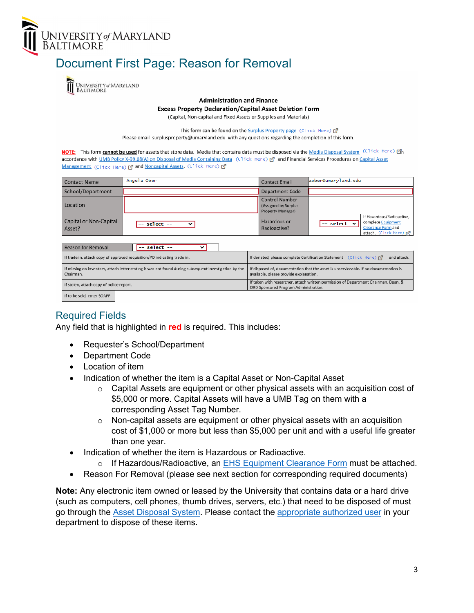

## <span id="page-3-0"></span>Document First Page: Reason for Removal



#### **Administration and Finance**

**Excess Property Declaration/Capital Asset Deletion Form** 

(Capital, Non-capital and Fixed Assets or Supplies and Materials)

This form can be found on the Surplus Property page (Click Here) [

Please email surplusproperty@umaryland.edu with any questions regarding the completion of this form.

NOTE: This form cannot be used for assets that store data. Media that contains data must be disposed via the Media Disposal System (Click Hene) Mn accordance with UMB Policy X-99.08(A) on Disposal of Media Containing Data (Click Here) [7] and Financial Services Procedures on Capital Asset Management (Click Here) & and Noncapital Assets. (Click Here) &

| <b>Contact Name</b>                                                                                                                                             | Angela Ober                                                                                            | <b>Contact Email</b>                                                                                                            | aober@umaryland.edu                                                                                                      |  |
|-----------------------------------------------------------------------------------------------------------------------------------------------------------------|--------------------------------------------------------------------------------------------------------|---------------------------------------------------------------------------------------------------------------------------------|--------------------------------------------------------------------------------------------------------------------------|--|
| School/Department                                                                                                                                               |                                                                                                        | Department Code                                                                                                                 |                                                                                                                          |  |
| Location                                                                                                                                                        |                                                                                                        | <b>Control Number</b><br>(Assigned by Surplus<br>Property Manager)                                                              |                                                                                                                          |  |
| Capital or Non-Capital<br>Asset?                                                                                                                                | -- select --                                                                                           | Hazardous or<br>Radioactive?                                                                                                    | If Hazardous/Radioactive.<br>complete Equipment<br>select $\vee$<br><b>Clearance Form and</b><br>attach, (Click Here) [7 |  |
| -- select --<br><b>Reason for Removal</b>                                                                                                                       |                                                                                                        |                                                                                                                                 |                                                                                                                          |  |
| If donated, please complete Certification Statement (Click Here) [7]<br>If trade in, attach copy of approved requisition/PO indicating trade in.<br>and attach. |                                                                                                        |                                                                                                                                 |                                                                                                                          |  |
| Chairman.                                                                                                                                                       | If missing on inventory, attach letter stating it was not found during subsequent investigation by the | If disposed of, documentation that the asset is unserviceable. If no documentation is<br>available, please provide explanation. |                                                                                                                          |  |
| If stolen, attach copy of police report.                                                                                                                        |                                                                                                        | ORD Sponsored Program Administration.                                                                                           | If taken with researcher, attach written permission of Department Chairman, Dean, &                                      |  |
| If to be sold, enter SOAPF.                                                                                                                                     |                                                                                                        |                                                                                                                                 |                                                                                                                          |  |

#### <span id="page-3-1"></span>Required Fields

Any field that is highlighted in **red** is required. This includes:

- Requester's School/Department
- Department Code
- Location of item
- Indication of whether the item is a Capital Asset or Non-Capital Asset
	- $\circ$  Capital Assets are equipment or other physical assets with an acquisition cost of \$5,000 or more. Capital Assets will have a UMB Tag on them with a corresponding Asset Tag Number.
	- $\circ$  Non-capital assets are equipment or other physical assets with an acquisition cost of \$1,000 or more but less than \$5,000 per unit and with a useful life greater than one year.
- Indication of whether the item is Hazardous or Radioactive.
	- $\circ$  If Hazardous/Radioactive, an [EHS Equipment Clearance Form](https://www.umaryland.edu/media/umb/af/ehs/forms/Equipment-Clearance-Form.pdf) must be attached.
- Reason For Removal (please see next section for corresponding required documents)

**Note:** Any electronic item owned or leased by the University that contains data or a hard drive (such as computers, cell phones, thumb drives, servers, etc.) that need to be disposed of must go through the [Asset Disposal System.](https://www.umaryland.edu/procurement/asset-disposal-system/) Please contact the [appropriate authorized user](https://cf.umaryland.edu/reports/assetdisposal_access.cfm) in your department to dispose of these items.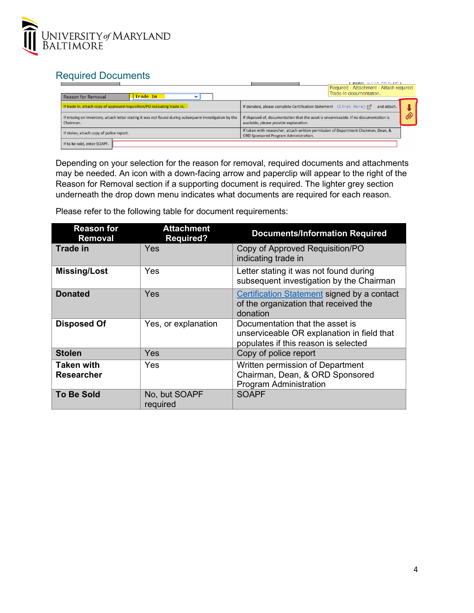

### <span id="page-4-0"></span>Required Documents

| Trade In<br><b>Reason for Removal</b>                                                                               | STEACH CONTROL OF CALLS<br>Required - Attachment - Attach required<br>Trade-In documentation.                                   |   |
|---------------------------------------------------------------------------------------------------------------------|---------------------------------------------------------------------------------------------------------------------------------|---|
| If trade in, attach copy of approved requisition/PO indicating trade in.                                            | If donated, please complete Certification Statement (Click Here) [7]<br>and attach.                                             |   |
| If missing on inventory, attach letter stating it was not found during subsequent investigation by the<br>Chairman. | If disposed of, documentation that the asset is unserviceable. If no documentation is<br>available, please provide explanation. | 6 |
| If stolen, attach copy of police report.                                                                            | If taken with researcher, attach written permission of Department Chairman, Dean, &<br>ORD Sponsored Program Administration.    |   |
| If to be sold, enter SOAPF.                                                                                         |                                                                                                                                 |   |

Depending on your selection for the reason for removal, required documents and attachments may be needed. An icon with a down-facing arrow and paperclip will appear to the right of the Reason for Removal section if a supporting document is required. The lighter grey section underneath the drop down menu indicates what documents are required for each reason.

Please refer to the following table for document requirements:

| <b>Reason for</b><br><b>Removal</b> | <b>Attachment</b><br><b>Required?</b> | <b>Documents/Information Required</b>                                                                                 |
|-------------------------------------|---------------------------------------|-----------------------------------------------------------------------------------------------------------------------|
| <b>Trade in</b>                     | Yes                                   | Copy of Approved Requisition/PO<br>indicating trade in                                                                |
| <b>Missing/Lost</b>                 | Yes                                   | Letter stating it was not found during<br>subsequent investigation by the Chairman                                    |
| <b>Donated</b>                      | Yes                                   | <b>Certification Statement signed by a contact</b><br>of the organization that received the<br>donation               |
| <b>Disposed Of</b>                  | Yes, or explanation                   | Documentation that the asset is<br>unserviceable OR explanation in field that<br>populates if this reason is selected |
| <b>Stolen</b>                       | Yes                                   | Copy of police report                                                                                                 |
| <b>Taken with</b><br>Researcher     | Yes                                   | Written permission of Department<br>Chairman, Dean, & ORD Sponsored<br><b>Program Administration</b>                  |
| <b>To Be Sold</b>                   | No, but SOAPF<br>required             | <b>SOAPF</b>                                                                                                          |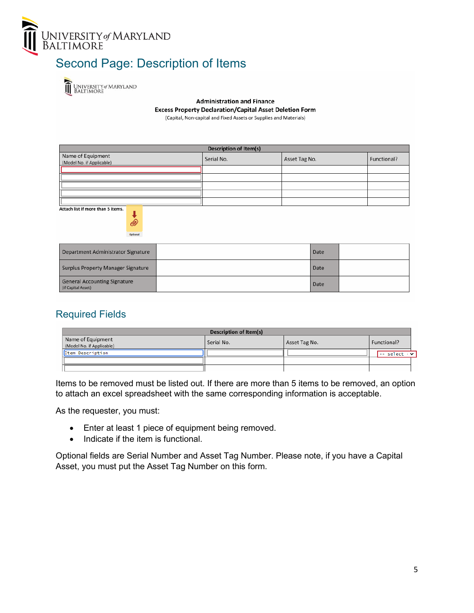

## <span id="page-5-0"></span>Second Page: Description of Items

UNIVERSITY of MARYLAND<br>BALTIMORE ÎÌ

> **Administration and Finance Excess Property Declaration/Capital Asset Deletion Form** (Capital, Non-capital and Fixed Assets or Supplies and Materials)

**Description of Item(s)** Name of Equipment<br>(Model No. if Applicable) Serial No. Asset Tag No. Functional?

Attach list if more than 5 items.



| Department Administrator Signature                        | Date |  |
|-----------------------------------------------------------|------|--|
| Surplus Property Manager Signature                        | Date |  |
| <b>General Accounting Signature</b><br>(if Capital Asset) | Date |  |

#### <span id="page-5-1"></span>Required Fields

| <b>Description of Item(s)</b>                  |            |               |                                                   |
|------------------------------------------------|------------|---------------|---------------------------------------------------|
| Name of Equipment<br>(Model No. if Applicable) | Serial No. | Asset Tag No. | Functional?                                       |
| Item Description                               |            |               | $\left  \text{-- select} \cdot \text{--} \right $ |
|                                                |            |               |                                                   |
|                                                |            |               |                                                   |

Items to be removed must be listed out. If there are more than 5 items to be removed, an option to attach an excel spreadsheet with the same corresponding information is acceptable.

As the requester, you must:

- Enter at least 1 piece of equipment being removed.
- Indicate if the item is functional.

Optional fields are Serial Number and Asset Tag Number. Please note, if you have a Capital Asset, you must put the Asset Tag Number on this form.